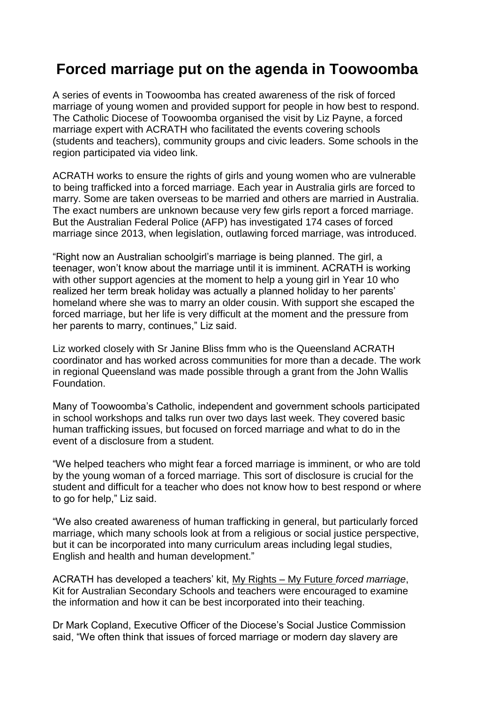## **Forced marriage put on the agenda in Toowoomba**

A series of events in Toowoomba has created awareness of the risk of forced marriage of young women and provided support for people in how best to respond. The Catholic Diocese of Toowoomba organised the visit by Liz Payne, a forced marriage expert with ACRATH who facilitated the events covering schools (students and teachers), community groups and civic leaders. Some schools in the region participated via video link.

ACRATH works to ensure the rights of girls and young women who are vulnerable to being trafficked into a forced marriage. Each year in Australia girls are forced to marry. Some are taken overseas to be married and others are married in Australia. The exact numbers are unknown because very few girls report a forced marriage. But the Australian Federal Police (AFP) has investigated 174 cases of forced marriage since 2013, when legislation, outlawing forced marriage, was introduced.

"Right now an Australian schoolgirl's marriage is being planned. The girl, a teenager, won't know about the marriage until it is imminent. ACRATH is working with other support agencies at the moment to help a young girl in Year 10 who realized her term break holiday was actually a planned holiday to her parents' homeland where she was to marry an older cousin. With support she escaped the forced marriage, but her life is very difficult at the moment and the pressure from her parents to marry, continues," Liz said.

Liz worked closely with Sr Janine Bliss fmm who is the Queensland ACRATH coordinator and has worked across communities for more than a decade. The work in regional Queensland was made possible through a grant from the John Wallis Foundation.

Many of Toowoomba's Catholic, independent and government schools participated in school workshops and talks run over two days last week. They covered basic human trafficking issues, but focused on forced marriage and what to do in the event of a disclosure from a student.

"We helped teachers who might fear a forced marriage is imminent, or who are told by the young woman of a forced marriage. This sort of disclosure is crucial for the student and difficult for a teacher who does not know how to best respond or where to go for help," Liz said.

"We also created awareness of human trafficking in general, but particularly forced marriage, which many schools look at from a religious or social justice perspective, but it can be incorporated into many curriculum areas including legal studies, English and health and human development."

ACRATH has developed a teachers' kit, My Rights – My Future *forced marriage*, Kit for Australian Secondary Schools and teachers were encouraged to examine the information and how it can be best incorporated into their teaching.

Dr Mark Copland, Executive Officer of the Diocese's Social Justice Commission said, "We often think that issues of forced marriage or modern day slavery are